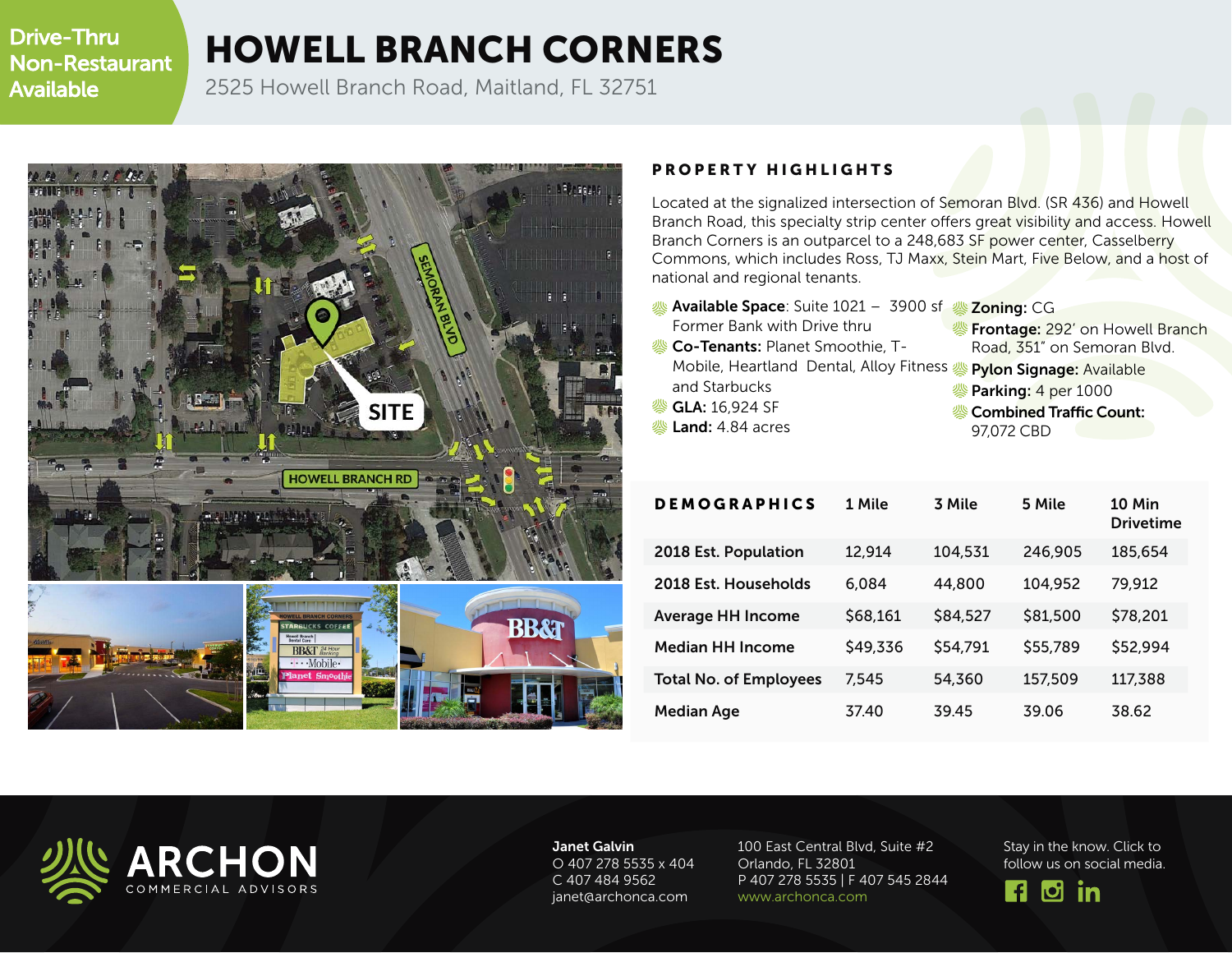Drive-Thru Non-Restaurant Available

## HOWELL BRANCH CORNERS

2525 Howell Branch Road, Maitland, FL 32751



## PROPERTY HIGHLIGHTS

Located at the signalized intersection of Semoran Blvd. (SR 436) and Howell Branch Road, this specialty strip center offers great visibility and access. Howell Branch Corners is an outparcel to a 248,683 SF power center, Casselberry Commons, which includes Ross, TJ Maxx, Stein Mart, Five Below, and a host of national and regional tenants.

- Available Space: Suite 1021 3900 sf Zoning: CG Former Bank with Drive thru
- **& Co-Tenants: Planet Smoothie, T-**Mobile, Heartland Dental, Alloy Fitness Pylon Signage: Available and Starbucks
- GLA: 16,924 SF
- Land: 4.84 acres
- *S* Frontage: 292' on Howell Branch
	- Road, 351" on Semoran Blvd.
- - *S* Parking: 4 per 1000
	- **& Combined Traffic Count:** 97,072 CBD

| <b>DEMOGRAPHICS</b>           | 1 Mile   | 3 Mile   | 5 Mile   | 10 Min<br><b>Drivetime</b> |
|-------------------------------|----------|----------|----------|----------------------------|
| 2018 Est. Population          | 12,914   | 104,531  | 246,905  | 185,654                    |
| 2018 Est. Households          | 6,084    | 44,800   | 104,952  | 79,912                     |
| <b>Average HH Income</b>      | \$68,161 | \$84,527 | \$81,500 | \$78,201                   |
| <b>Median HH Income</b>       | \$49,336 | \$54,791 | \$55,789 | \$52,994                   |
| <b>Total No. of Employees</b> | 7,545    | 54,360   | 157,509  | 117,388                    |
| <b>Median Age</b>             | 37.40    | 39.45    | 39.06    | 38.62                      |



Janet Galvin O 407 278 5535 x 404 C 407 484 9562 janet@archonca.com

100 East Central Blvd, Suite #2 Orlando, FL 32801 P 407 278 5535 | F 407 545 2844 www.archonca.com

Stay in the know. Click to follow us on social media.